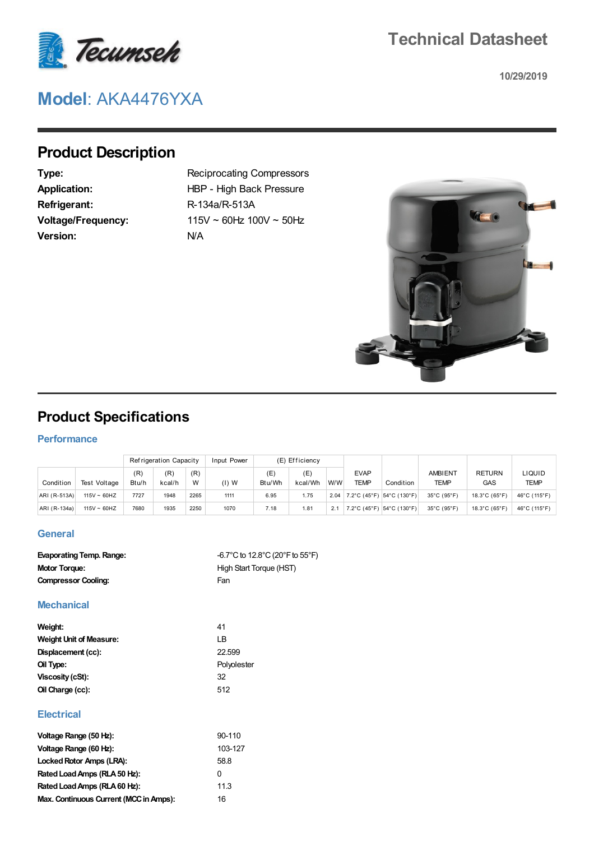

## **Technical Datasheet**

**10/29/2019**

# **Model**: AKA4476YXA

## **Product Description**

**Refrigerant:** R-134a/R-513A **Version:** N/A

**Type:** Reciprocating Compressors Application: HBP - High Back Pressure **Voltage/Frequency:** 115V ~ 60Hz 100V ~ 50Hz



### **Product Specifications**

#### **Performance**

|              |                  |              | Refrigeration Capacity |          | Input Power | (E) Efficiency |                |      |                            |                               |                               |                             |                       |
|--------------|------------------|--------------|------------------------|----------|-------------|----------------|----------------|------|----------------------------|-------------------------------|-------------------------------|-----------------------------|-----------------------|
| Condition    | Test Voltage     | (R)<br>Btu/h | (R)<br>kcal/h          | (R)<br>W | $(1)$ W     | (E<br>Btu/Wh   | ίE.<br>kcal/Wh | W/W  | <b>EVAP</b><br><b>TEMP</b> | Condition                     | <b>AMBIENT</b><br><b>TEMP</b> | <b>RETURN</b><br><b>GAS</b> | LIQUID<br><b>TEMP</b> |
| ARI (R-513A) | $115V \sim 60HZ$ | 7727         | 1948                   | 2265     | 1111        | 6.95           | 1.75           | 2.04 |                            | 7.2°C (45°F) $ 54$ °C (130°F) | 35°C (95°F)                   | 18.3°C (65°F)               | 46°C (115°F)          |
| ARI (R-134a) | $115V \sim 60HZ$ | 7680         | 1935                   | 2250     | 1070        | 7.18           | 1.81           | 2.1  |                            | 7.2°C (45°F)   54°C (130°F)   | 35°C (95°F)                   | 18.3°C (65°F)               | 46°C (115°F)          |

#### **General**

| $-6.7^{\circ}$ C to 12.8 $^{\circ}$ C (20 $^{\circ}$ F to 55 $^{\circ}$ F) |
|----------------------------------------------------------------------------|
|                                                                            |
|                                                                            |
|                                                                            |

#### **Mechanical**

| Weight:                        | 41          |
|--------------------------------|-------------|
| <b>Weight Unit of Measure:</b> | ΙB          |
| Displacement (cc):             | 22.599      |
| Oil Type:                      | Polyolester |
| Viscosity (cSt):               | 32          |
| Oil Charge (cc):               | 512         |
|                                |             |

#### **Electrical**

| Voltage Range (50 Hz):                 | 90-110       |
|----------------------------------------|--------------|
| Voltage Range (60 Hz):                 | 103-127      |
| Locked Rotor Amps (LRA):               | 58.8         |
| Rated Load Amps (RLA 50 Hz):           | <sup>0</sup> |
| Rated Load Amps (RLA 60 Hz):           | 11.3         |
| Max. Continuous Current (MCC in Amps): | 16           |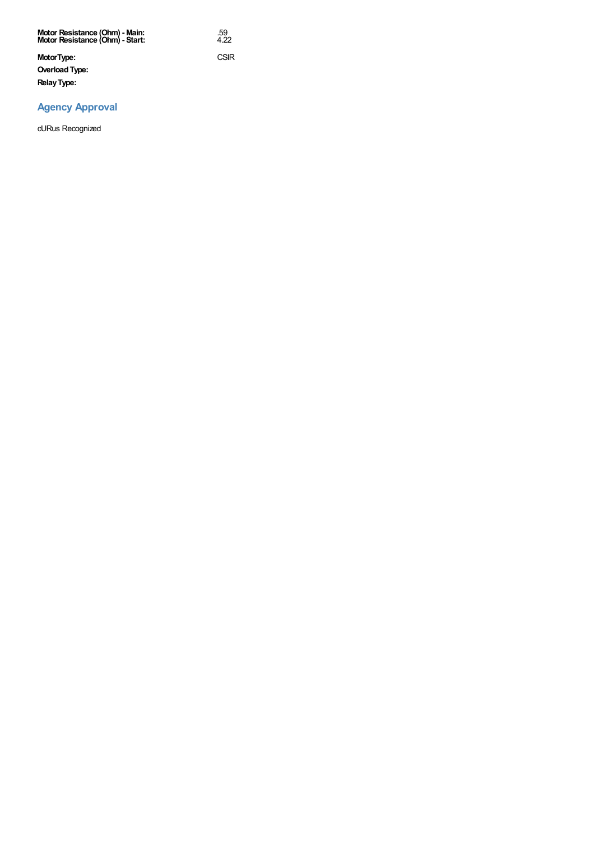| Motor Resistance (Ohm) - Main:<br>Motor Resistance (Ohm) - Start: | .59<br>4.22 |
|-------------------------------------------------------------------|-------------|
| MotorType:                                                        | CSIR        |
| Overload Type:                                                    |             |
| <b>Relay Type:</b>                                                |             |

#### **Agency Approval**

cURus Recognized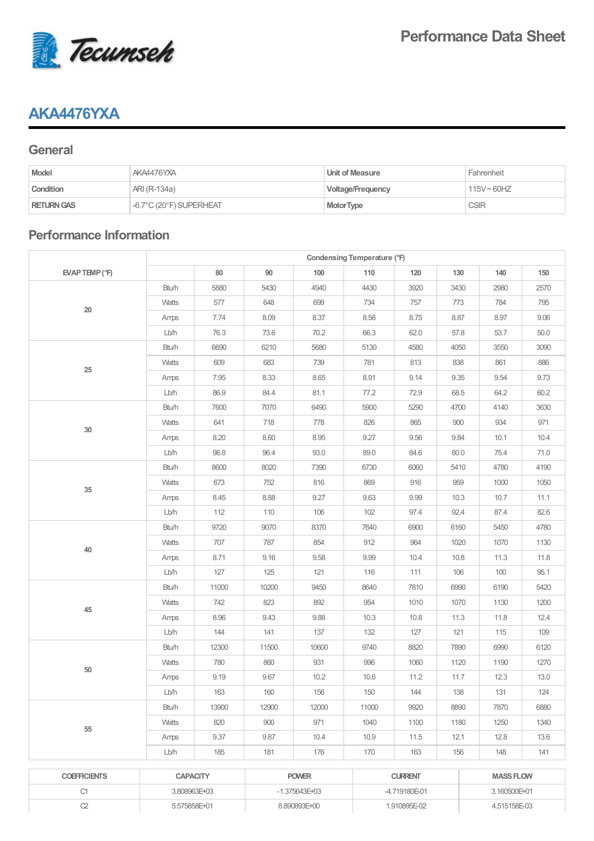

### **AKA4476YXA**

#### **General**

| <b>Model</b>      | AKA4476YXA              | Unit of Measure   | Fahrenheit    |
|-------------------|-------------------------|-------------------|---------------|
| Condition         | ARI (R-134a)            | Voltage/Frequency | $115V - 60HZ$ |
| <b>RETURN GAS</b> | -6.7°C (20°F) SUPERHEAT | <b>MotorType</b>  | <b>CSIR</b>   |

### **Performance Information**

|                     | Condensing Temperature (°F) |                 |       |                   |       |                |      |                  |      |
|---------------------|-----------------------------|-----------------|-------|-------------------|-------|----------------|------|------------------|------|
| EVAP TEMP (°F)      |                             | 80              | 90    | 100               | 110   | 120            | 130  | 140              | 150  |
|                     | Btu/h                       | 5880            | 5430  | 4940              | 4430  | 3920           | 3430 | 2980             | 2570 |
| 20                  | Watts                       | 577             | 648   | 699               | 734   | 757            | 773  | 784              | 795  |
|                     | Amps                        | 7.74            | 8.09  | 8.37              | 8.58  | 8.75           | 8.87 | 8.97             | 9.06 |
|                     | Lb/h                        | 76.3            | 73.6  | 70.2              | 66.3  | 62.0           | 57.8 | 53.7             | 50.0 |
|                     | Btu/h                       | 6690            | 6210  | 5680              | 5130  | 4580           | 4050 | 3550             | 3090 |
| $25\,$              | Watts                       | 609             | 683   | 739               | 781   | 813            | 838  | 861              | 886  |
|                     | Amps                        | 7.95            | 8.33  | 8.65              | 8.91  | 9.14           | 9.35 | 9.54             | 9.73 |
|                     | Lb/h                        | 86.9            | 84.4  | 81.1              | 77.2  | 72.9           | 68.5 | 64.2             | 60.2 |
|                     | Btu/h                       | 7600            | 7070  | 6490              | 5900  | 5290           | 4700 | 4140             | 3630 |
| $30\,$              | Watts                       | 641             | 718   | 778               | 826   | 865            | 900  | 934              | 971  |
|                     | Amps                        | 8.20            | 8.60  | 8.95              | 9.27  | 9.56           | 9.84 | 10.1             | 10.4 |
|                     | Lb/h                        | 98.8            | 96.4  | 93.0              | 89.0  | 84.6           | 80.0 | 75.4             | 71.0 |
|                     | Btu/h                       | 8600            | 8020  | 7390              | 6730  | 6060           | 5410 | 4780             | 4190 |
| $35\,$              | Watts                       | 673             | 752   | 816               | 869   | 916            | 959  | 1000             | 1050 |
|                     | Amps                        | 8.45            | 8.88  | 9.27              | 9.63  | 9.99           | 10.3 | 10.7             | 11.1 |
|                     | Lb/h                        | 112             | 110   | 106               | 102   | 97.4           | 92.4 | 87.4             | 82.6 |
|                     | Btu/h                       | 9720            | 9070  | 8370              | 7640  | 6900           | 6160 | 5450             | 4780 |
| 40                  | Watts                       | 707             | 787   | 854               | 912   | 964            | 1020 | 1070             | 1130 |
|                     | Amps                        | 8.71            | 9.16  | 9.58              | 9.99  | 10.4           | 10.8 | 11.3             | 11.8 |
|                     | Lb/h                        | 127             | 125   | 121               | 116   | 111            | 106  | 100              | 95.1 |
|                     | Btu/h                       | 11000           | 10200 | 9450              | 8640  | 7810           | 6990 | 6190             | 5420 |
| 45                  | Watts                       | 742             | 823   | 892               | 954   | 1010           | 1070 | 1130             | 1200 |
|                     | Amps                        | 8.96            | 9.43  | 9.88              | 10.3  | 10.8           | 11.3 | 11.8             | 12.4 |
|                     | Lb/h                        | 144             | 141   | 137               | 132   | 127            | 121  | 115              | 109  |
|                     | Btu/h                       | 12300           | 11500 | 10600             | 9740  | 8820           | 7890 | 6990             | 6120 |
| 50                  | Watts                       | 780             | 860   | 931               | 996   | 1060           | 1120 | 1190             | 1270 |
|                     | Amps                        | 9.19            | 9.67  | 10.2              | 10.6  | 11.2           | 11.7 | 12.3             | 13.0 |
|                     | Lb/h                        | 163             | 160   | 156               | 150   | 144            | 138  | 131              | 124  |
|                     | Btu/h                       | 13900           | 12900 | 12000             | 11000 | 9920           | 8890 | 7870             | 6880 |
| 55                  | <b>Watts</b>                | 820             | 900   | 971               | 1040  | 1100           | 1180 | 1250             | 1340 |
|                     | Amps                        | 9.37            | 9.87  | 10.4              | 10.9  | 11.5           | 12.1 | 12.8             | 13.6 |
|                     | Lb/h                        | 185             | 181   | 176               | 170   | 163            | 156  | 148              | 141  |
| <b>COEFFICIENTS</b> |                             | <b>CAPACITY</b> |       | <b>POWER</b>      |       | <b>CURRENT</b> |      | <b>MASS FLOW</b> |      |
| C1                  | 3.808963E+03                |                 |       | $-1.375643E + 03$ |       | -4.719180E-01  |      | 3.160500E+01     |      |

C2 5.575858E+01 8.890893E+00 1.910895E-02 4.515158E-03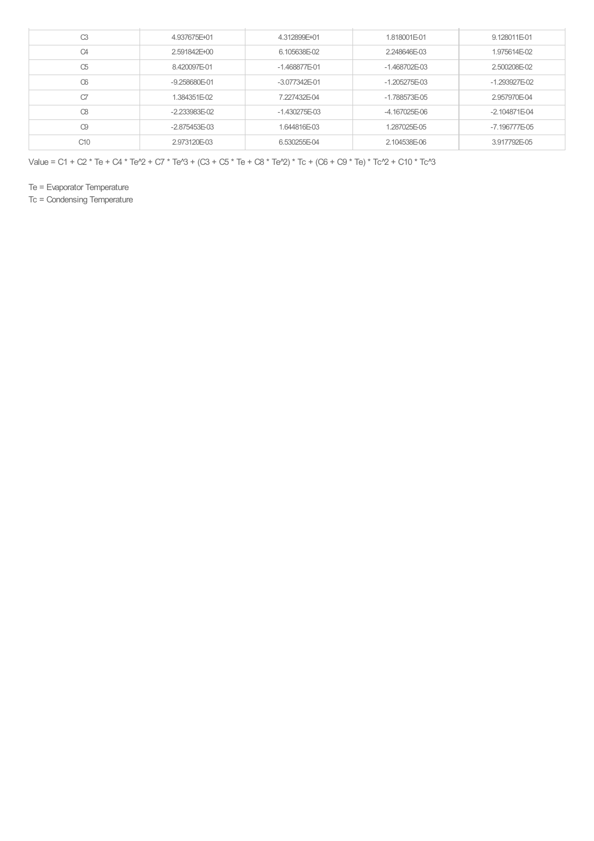| C3             | 4.937675E+01    | 4.312899E+01    | 1.818001E-01    | 9.128011E-01    |
|----------------|-----------------|-----------------|-----------------|-----------------|
| C <sub>4</sub> | 2.591842E+00    | 6.105638E-02    | 2.248646E-03    | 1.975614E-02    |
| C5             | 8.420097E-01    | $-1.468877E-01$ | $-1.468702E-03$ | 2.500208E-02    |
| CG             | $-9.258680E-01$ | $-3.077342E-01$ | $-1.205275E-03$ | $-1.293927E-02$ |
| C7             | 1.384351E-02    | 7.227432E-04    | $-1.788573E-05$ | 2.957970E-04    |
| $\infty$       | $-2.233983E-02$ | $-1.430275E-03$ | $-4.167025E-06$ | $-2.104871E-04$ |
| C9             | $-2.875453E-03$ | 1.644816E-03    | 1.287025E-05    | $-7.196777E-05$ |
| C10            | 2.973120E-03    | 6.530255E-04    | 2.104538E-06    | 3.917792E-05    |

Value = C1 + C2 \* Te + C4 \* Te^2 + C7 \* Te^3 + (C3 + C5 \* Te + C8 \* Te^2) \* Tc + (C6 + C9 \* Te) \* Tc^2 + C10 \* Tc^3

Te = Evaporator Temperature

Tc = Condensing Temperature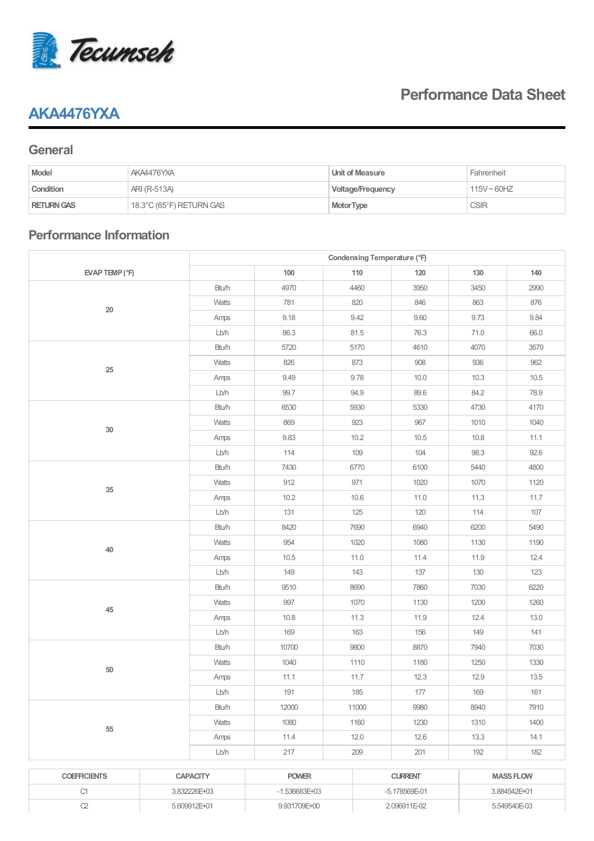

### **AKA4476YXA**

## **Performance Data Sheet**

#### **General**

| <b>Model</b>      | AKA4476YXA               | Unit of Measure          | Fahrenheit    |
|-------------------|--------------------------|--------------------------|---------------|
| Condition         | ARI (R-513A)             | <b>Voltage/Frequency</b> | $115V - 60HZ$ |
| <b>RETURN GAS</b> | 18.3°C (65°F) RETURN GAS | <b>MotorType</b>         | <b>CSIR</b>   |

### **Performance Information**

|                     |                 | Condensing Temperature (°F) |              |                |               |      |                  |  |  |
|---------------------|-----------------|-----------------------------|--------------|----------------|---------------|------|------------------|--|--|
| EVAP TEMP (°F)      |                 | 100                         |              | 110            | 120           | 130  | 140              |  |  |
|                     | Btu/h           | 4970                        |              | 4460           | 3950          | 3450 | 2990             |  |  |
| $20\,$              | Watts           | 781                         |              | 820            | 846           | 863  | 876              |  |  |
|                     | Amps            | 9.18                        |              | 9.42           | 9.60          | 9.73 | 9.84             |  |  |
|                     | Lb/h            | 86.3                        |              | 81.5           | 76.3          | 71.0 | 66.0             |  |  |
|                     | Btu/h           | 5720                        |              | 5170           | 4610          | 4070 | 3570             |  |  |
| 25                  | Watts           | 826                         |              | 873            | 908           | 936  | 962              |  |  |
|                     | Amps            | 9.49                        |              | 9.78           | 10.0          | 10.3 | 10.5             |  |  |
|                     | Lb/h            | 99.7                        |              | 94.9           | 89.6          | 84.2 | 78.9             |  |  |
|                     | Btu/h           | 6530                        |              | 5930           | 5330          | 4730 | 4170             |  |  |
|                     | Watts           | 869                         |              | 923            | 967           | 1010 | 1040             |  |  |
| $30\,$              | Amps            | 9.83                        |              | 10.2           | 10.5          | 10.8 | 11.1             |  |  |
|                     | Lb/h            | 114                         |              | 109            | 104           | 98.3 | 92.6             |  |  |
|                     | Btu/h           | 7430                        |              | 6770           | 6100          | 5440 | 4800             |  |  |
|                     | Watts           | 912                         |              | 971            | 1020          | 1070 | 1120             |  |  |
| $35\,$              | Amps            | 10.2                        |              | 10.6           | 11.0          | 11.3 | 11.7             |  |  |
|                     | Lb/h            | 131                         |              | 125            | 120           | 114  | 107              |  |  |
|                     | Btu/h           | 8420                        |              | 7690           | 6940          | 6200 | 5490             |  |  |
|                     | Watts           | 954                         |              | 1020           | 1080          | 1130 | 1190             |  |  |
| 40                  | Amps            | 10.5                        |              | 11.0           | 11.4          | 11.9 | 12.4             |  |  |
|                     | Lb/h            | 149                         |              | 143            | 137           | 130  | 123              |  |  |
|                     | Btu/h           | 9510                        |              | 8690           | 7860          | 7030 | 6220             |  |  |
| 45                  | Watts           | 997                         |              | 1070           | 1130          | 1200 | 1260             |  |  |
|                     | Amps            | 10.8                        |              | 11.3           | 11.9          | 12.4 | 13.0             |  |  |
|                     | Lb/h            | 169                         |              | 163            | 156           | 149  | 141              |  |  |
|                     | Btu/h           | 10700                       |              | 9800           | 8870          | 7940 | 7030             |  |  |
| $50\,$              | Watts           | 1040                        |              | 1110           | 1180          | 1250 | 1330             |  |  |
|                     | Amps            | 11.1                        |              | 11.7           | 12.3          | 12.9 | 13.5             |  |  |
|                     | Lb/h            | 191                         |              | 185            | 177           | 169  | 161              |  |  |
|                     | Btu/h           | 12000                       |              | 11000          | 9980          | 8940 | 7910             |  |  |
| 55                  | Watts           | 1080                        |              | 1160           | 1230          | 1310 | 1400             |  |  |
|                     | Amps            | 11.4                        |              | 12.0           | 12.6          | 13.3 | 14.1             |  |  |
|                     | Lb/h            | 217                         |              | 209            | 201           | 192  | 182              |  |  |
|                     |                 |                             |              |                |               |      |                  |  |  |
| <b>COEFFICIENTS</b> | <b>CAPACITY</b> | <b>POWER</b>                |              | <b>CURRENT</b> |               |      | <b>MASS FLOW</b> |  |  |
| C1                  | 3.832226E+03    | $-1.536683E + 03$           |              |                | -5.178569E-01 |      | 3.884542E+01     |  |  |
| $C2\,$              | 5.609912E+01    |                             | 9.931709E+00 |                | 2.096911E-02  |      | 5.549540E-03     |  |  |